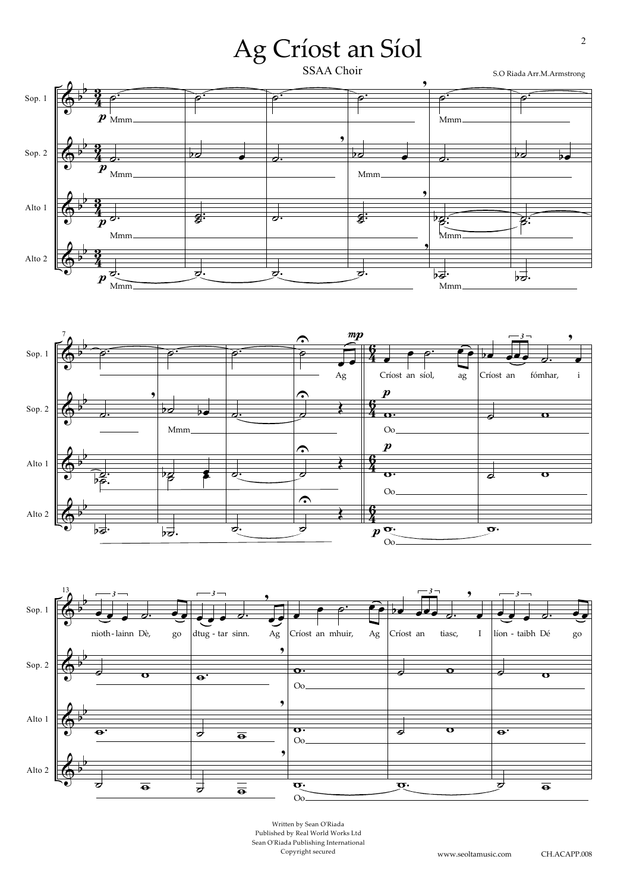





Written by Sean O'Riada Published by Real World Works Ltd Sean O'Riada Publishing International Copyright secured